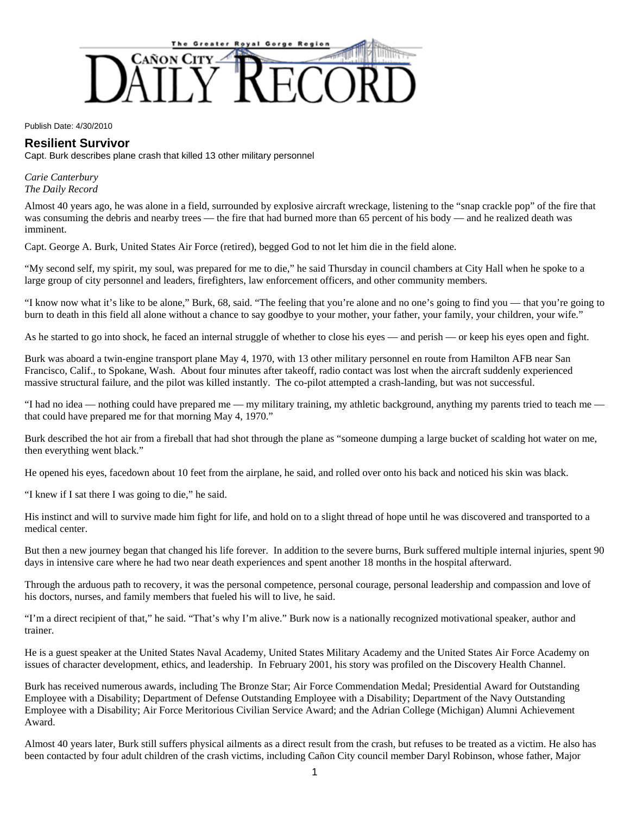

Publish Date: 4/30/2010

## **Resilient Survivor**

Capt. Burk describes plane crash that killed 13 other military personnel

*Carie Canterbury The Daily Record* 

Almost 40 years ago, he was alone in a field, surrounded by explosive aircraft wreckage, listening to the "snap crackle pop" of the fire that was consuming the debris and nearby trees — the fire that had burned more than 65 percent of his body — and he realized death was imminent.

Capt. George A. Burk, United States Air Force (retired), begged God to not let him die in the field alone.

"My second self, my spirit, my soul, was prepared for me to die," he said Thursday in council chambers at City Hall when he spoke to a large group of city personnel and leaders, firefighters, law enforcement officers, and other community members.

"I know now what it's like to be alone," Burk, 68, said. "The feeling that you're alone and no one's going to find you — that you're going to burn to death in this field all alone without a chance to say goodbye to your mother, your father, your family, your children, your wife."

As he started to go into shock, he faced an internal struggle of whether to close his eyes — and perish — or keep his eyes open and fight.

Burk was aboard a twin-engine transport plane May 4, 1970, with 13 other military personnel en route from Hamilton AFB near San Francisco, Calif., to Spokane, Wash. About four minutes after takeoff, radio contact was lost when the aircraft suddenly experienced massive structural failure, and the pilot was killed instantly. The co-pilot attempted a crash-landing, but was not successful.

"I had no idea — nothing could have prepared me — my military training, my athletic background, anything my parents tried to teach me that could have prepared me for that morning May 4, 1970."

Burk described the hot air from a fireball that had shot through the plane as "someone dumping a large bucket of scalding hot water on me, then everything went black."

He opened his eyes, facedown about 10 feet from the airplane, he said, and rolled over onto his back and noticed his skin was black.

"I knew if I sat there I was going to die," he said.

His instinct and will to survive made him fight for life, and hold on to a slight thread of hope until he was discovered and transported to a medical center.

But then a new journey began that changed his life forever. In addition to the severe burns, Burk suffered multiple internal injuries, spent 90 days in intensive care where he had two near death experiences and spent another 18 months in the hospital afterward.

Through the arduous path to recovery, it was the personal competence, personal courage, personal leadership and compassion and love of his doctors, nurses, and family members that fueled his will to live, he said.

"I'm a direct recipient of that," he said. "That's why I'm alive." Burk now is a nationally recognized motivational speaker, author and trainer.

He is a guest speaker at the United States Naval Academy, United States Military Academy and the United States Air Force Academy on issues of character development, ethics, and leadership. In February 2001, his story was profiled on the Discovery Health Channel.

Burk has received numerous awards, including The Bronze Star; Air Force Commendation Medal; Presidential Award for Outstanding Employee with a Disability; Department of Defense Outstanding Employee with a Disability; Department of the Navy Outstanding Employee with a Disability; Air Force Meritorious Civilian Service Award; and the Adrian College (Michigan) Alumni Achievement Award.

Almost 40 years later, Burk still suffers physical ailments as a direct result from the crash, but refuses to be treated as a victim. He also has been contacted by four adult children of the crash victims, including Cañon City council member Daryl Robinson, whose father, Major